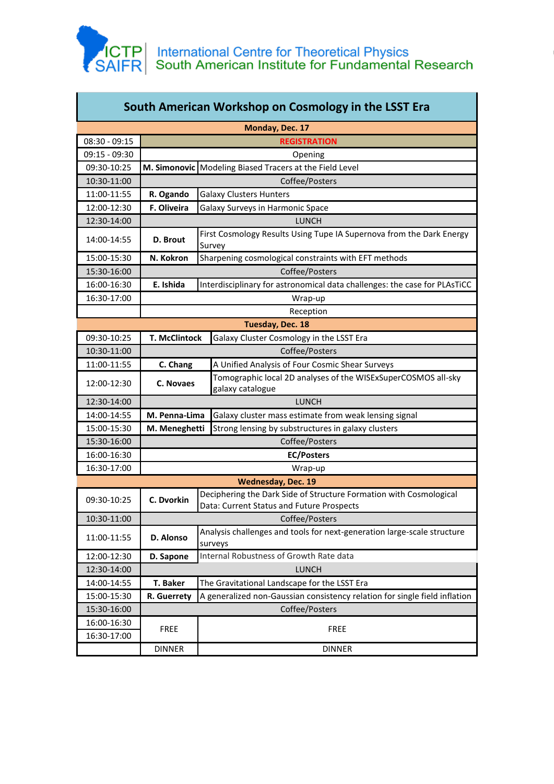

П

T

| South American Workshop on Cosmology in the LSST Era |                                                                                           |                                                                                                                 |  |  |
|------------------------------------------------------|-------------------------------------------------------------------------------------------|-----------------------------------------------------------------------------------------------------------------|--|--|
| Monday, Dec. 17                                      |                                                                                           |                                                                                                                 |  |  |
| 08:30 - 09:15                                        | <b>REGISTRATION</b>                                                                       |                                                                                                                 |  |  |
| 09:15 - 09:30                                        | Opening                                                                                   |                                                                                                                 |  |  |
| 09:30-10:25                                          | M. Simonovic Modeling Biased Tracers at the Field Level                                   |                                                                                                                 |  |  |
| 10:30-11:00                                          | Coffee/Posters                                                                            |                                                                                                                 |  |  |
| 11:00-11:55                                          | R. Ogando                                                                                 | <b>Galaxy Clusters Hunters</b>                                                                                  |  |  |
| 12:00-12:30                                          | F. Oliveira                                                                               | Galaxy Surveys in Harmonic Space                                                                                |  |  |
| 12:30-14:00                                          | <b>LUNCH</b>                                                                              |                                                                                                                 |  |  |
| 14:00-14:55                                          | D. Brout                                                                                  | First Cosmology Results Using Tupe IA Supernova from the Dark Energy<br>Survey                                  |  |  |
| 15:00-15:30                                          | N. Kokron                                                                                 | Sharpening cosmological constraints with EFT methods                                                            |  |  |
| 15:30-16:00                                          | Coffee/Posters                                                                            |                                                                                                                 |  |  |
| 16:00-16:30                                          | E. Ishida<br>Interdisciplinary for astronomical data challenges: the case for PLAsTiCC    |                                                                                                                 |  |  |
| 16:30-17:00                                          | Wrap-up                                                                                   |                                                                                                                 |  |  |
|                                                      | Reception                                                                                 |                                                                                                                 |  |  |
| Tuesday, Dec. 18                                     |                                                                                           |                                                                                                                 |  |  |
| 09:30-10:25                                          | <b>T. McClintock</b><br>Galaxy Cluster Cosmology in the LSST Era                          |                                                                                                                 |  |  |
| 10:30-11:00                                          | Coffee/Posters                                                                            |                                                                                                                 |  |  |
| 11:00-11:55                                          | A Unified Analysis of Four Cosmic Shear Surveys<br>C. Chang                               |                                                                                                                 |  |  |
| 12:00-12:30                                          | C. Novaes                                                                                 | Tomographic local 2D analyses of the WISExSuperCOSMOS all-sky<br>galaxy catalogue                               |  |  |
| 12:30-14:00                                          | <b>LUNCH</b>                                                                              |                                                                                                                 |  |  |
| 14:00-14:55                                          | M. Penna-Lima<br>Galaxy cluster mass estimate from weak lensing signal                    |                                                                                                                 |  |  |
| 15:00-15:30                                          | M. Meneghetti                                                                             | Strong lensing by substructures in galaxy clusters                                                              |  |  |
| 15:30-16:00                                          | Coffee/Posters                                                                            |                                                                                                                 |  |  |
| 16:00-16:30                                          | <b>EC/Posters</b>                                                                         |                                                                                                                 |  |  |
| 16:30-17:00                                          | Wrap-up                                                                                   |                                                                                                                 |  |  |
| <b>Wednesday, Dec. 19</b>                            |                                                                                           |                                                                                                                 |  |  |
| 09:30-10:25                                          | C. Dvorkin                                                                                | Deciphering the Dark Side of Structure Formation with Cosmological<br>Data: Current Status and Future Prospects |  |  |
| 10:30-11:00                                          | Coffee/Posters                                                                            |                                                                                                                 |  |  |
| 11:00-11:55                                          | D. Alonso                                                                                 | Analysis challenges and tools for next-generation large-scale structure<br>surveys                              |  |  |
| 12:00-12:30                                          | D. Sapone                                                                                 | Internal Robustness of Growth Rate data                                                                         |  |  |
| 12:30-14:00                                          |                                                                                           | <b>LUNCH</b>                                                                                                    |  |  |
| 14:00-14:55                                          | T. Baker<br>The Gravitational Landscape for the LSST Era                                  |                                                                                                                 |  |  |
| 15:00-15:30                                          | A generalized non-Gaussian consistency relation for single field inflation<br>R. Guerrety |                                                                                                                 |  |  |
| 15:30-16:00                                          | Coffee/Posters                                                                            |                                                                                                                 |  |  |
| 16:00-16:30                                          |                                                                                           |                                                                                                                 |  |  |
| 16:30-17:00                                          | <b>FREE</b>                                                                               | <b>FREE</b>                                                                                                     |  |  |
|                                                      | <b>DINNER</b>                                                                             | <b>DINNER</b>                                                                                                   |  |  |